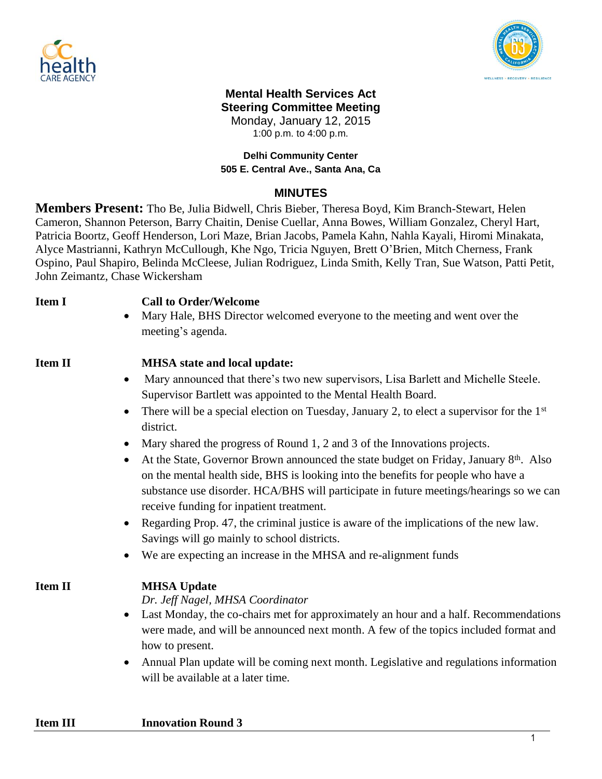



#### **Mental Health Services Act Steering Committee Meeting**

Monday, January 12, 2015

1:00 p.m. to 4:00 p.m.

### **Delhi Community Center 505 E. Central Ave., Santa Ana, Ca**

# **MINUTES**

**Members Present:** Tho Be, Julia Bidwell, Chris Bieber, Theresa Boyd, Kim Branch-Stewart, Helen Cameron, Shannon Peterson, Barry Chaitin, Denise Cuellar, Anna Bowes, William Gonzalez, Cheryl Hart, Patricia Boortz, Geoff Henderson, Lori Maze, Brian Jacobs, Pamela Kahn, Nahla Kayali, Hiromi Minakata, Alyce Mastrianni, Kathryn McCullough, Khe Ngo, Tricia Nguyen, Brett O'Brien, Mitch Cherness, Frank Ospino, Paul Shapiro, Belinda McCleese, Julian Rodriguez, Linda Smith, Kelly Tran, Sue Watson, Patti Petit, John Zeimantz, Chase Wickersham

### **Item I Call to Order/Welcome**

 Mary Hale, BHS Director welcomed everyone to the meeting and went over the meeting's agenda.

## **Item II MHSA state and local update:**

- Mary announced that there's two new supervisors, Lisa Barlett and Michelle Steele. Supervisor Bartlett was appointed to the Mental Health Board.
- There will be a special election on Tuesday, January 2, to elect a supervisor for the 1<sup>st</sup> district.
- Mary shared the progress of Round 1, 2 and 3 of the Innovations projects.
- At the State, Governor Brown announced the state budget on Friday, January 8<sup>th</sup>. Also on the mental health side, BHS is looking into the benefits for people who have a substance use disorder. HCA/BHS will participate in future meetings/hearings so we can receive funding for inpatient treatment.
- Regarding Prop. 47, the criminal justice is aware of the implications of the new law. Savings will go mainly to school districts.
- We are expecting an increase in the MHSA and re-alignment funds

# **Item II MHSA Update**

### *Dr. Jeff Nagel, MHSA Coordinator*

- Last Monday, the co-chairs met for approximately an hour and a half. Recommendations were made, and will be announced next month. A few of the topics included format and how to present.
- Annual Plan update will be coming next month. Legislative and regulations information will be available at a later time.